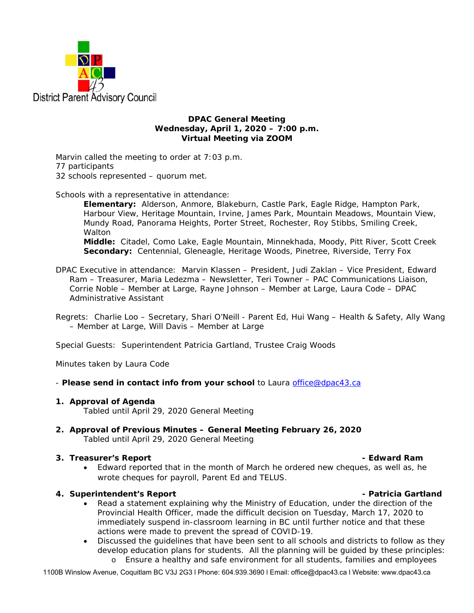

# **DPAC General Meeting Wednesday, April 1, 2020 – 7:00 p.m. Virtual Meeting via ZOOM**

Marvin called the meeting to order at 7:03 p.m. 77 participants 32 schools represented – quorum met.

Schools with a representative in attendance:

**Elementary:** Alderson, Anmore, Blakeburn, Castle Park, Eagle Ridge, Hampton Park, Harbour View, Heritage Mountain, Irvine, James Park, Mountain Meadows, Mountain View, Mundy Road, Panorama Heights, Porter Street, Rochester, Roy Stibbs, Smiling Creek, Walton

**Middle:** Citadel, Como Lake, Eagle Mountain, Minnekhada, Moody, Pitt River, Scott Creek **Secondary:** Centennial, Gleneagle, Heritage Woods, Pinetree, Riverside, Terry Fox

- DPAC Executive in attendance: Marvin Klassen President, Judi Zaklan Vice President, Edward Ram – Treasurer, Maria Ledezma – Newsletter, Teri Towner – PAC Communications Liaison, Corrie Noble – Member at Large, Rayne Johnson – Member at Large, Laura Code – DPAC Administrative Assistant
- Regrets: Charlie Loo Secretary, Shari O'Neill Parent Ed, Hui Wang Health & Safety, Ally Wang – Member at Large, Will Davis – Member at Large

Special Guests: Superintendent Patricia Gartland, Trustee Craig Woods

Minutes taken by Laura Code

- *Please send in contact info from your school* to Laura office@dpac43.ca

# **1. Approval of Agenda**

Tabled until April 29, 2020 General Meeting

**2. Approval of Previous Minutes – General Meeting February 26, 2020**  Tabled until April 29, 2020 General Meeting

# **3. Treasurer's Report - Edward Ram**

 Edward reported that in the month of March he ordered new cheques, as well as, he wrote cheques for payroll, Parent Ed and TELUS.

# **4.** Superintendent's Report **Constanting Constanting Constanting Constanting Constanting Constanting Constanting Constanting Constanting Constanting Constanting Constanting Constanting Constanting Constanting Constanting**

- Read a statement explaining why the Ministry of Education, under the direction of the Provincial Health Officer, made the difficult decision on Tuesday, March 17, 2020 to immediately suspend in-classroom learning in BC until further notice and that these actions were made to prevent the spread of COVID-19.
- Discussed the guidelines that have been sent to all schools and districts to follow as they develop education plans for students. All the planning will be guided by these principles: o Ensure a healthy and safe environment for all students, families and employees

1100B Winslow Avenue, Coquitlam BC V3J 2G3 l Phone: 604.939.3690 l Email: office@dpac43.ca l Website: www.dpac43.ca